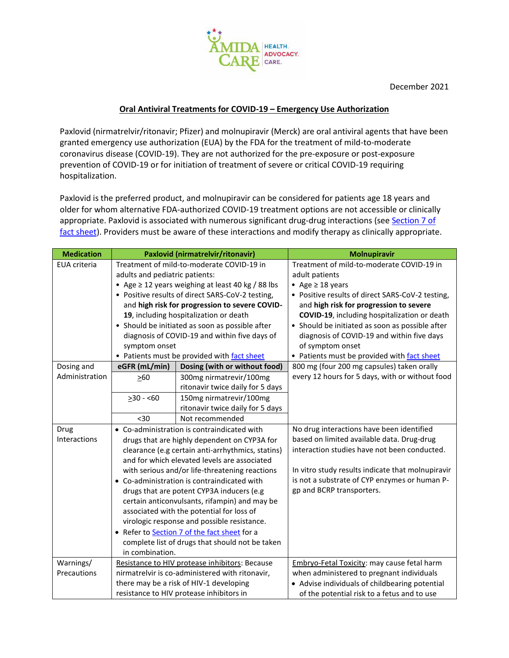

December 2021

## **Oral Antiviral Treatments for COVID-19 – Emergency Use Authorization**

Paxlovid (nirmatrelvir/ritonavir; Pfizer) and molnupiravir (Merck) are oral antiviral agents that have been granted emergency use authorization (EUA) by the FDA for the treatment of mild-to-moderate coronavirus disease (COVID-19). They are not authorized for the pre-exposure or post-exposure prevention of COVID-19 or for initiation of treatment of severe or critical COVID-19 requiring hospitalization.

Paxlovid is the preferred product, and molnupiravir can be considered for patients age 18 years and older for whom alternative FDA-authorized COVID-19 treatment options are not accessible or clinically appropriate. Paxlovid is associated with numerous significant drug-drug interactions (see Section 7 of [fact sheet\)](https://www.fda.gov/media/155050/download). Providers must be aware of these interactions and modify therapy as clinically appropriate.

| <b>Medication</b>    | Paxlovid (nirmatrelvir/ritonavir)                                                                                                                                                                                                                                                                                                                                                                                                                                                                                                                                                                                 |                                                             | <b>Molnupiravir</b>                                                                                                                                                                                                                                                                                                                                      |
|----------------------|-------------------------------------------------------------------------------------------------------------------------------------------------------------------------------------------------------------------------------------------------------------------------------------------------------------------------------------------------------------------------------------------------------------------------------------------------------------------------------------------------------------------------------------------------------------------------------------------------------------------|-------------------------------------------------------------|----------------------------------------------------------------------------------------------------------------------------------------------------------------------------------------------------------------------------------------------------------------------------------------------------------------------------------------------------------|
| <b>EUA</b> criteria  | Treatment of mild-to-moderate COVID-19 in<br>adults and pediatric patients:<br>• Age $\geq$ 12 years weighing at least 40 kg / 88 lbs<br>• Positive results of direct SARS-CoV-2 testing,<br>and high risk for progression to severe COVID-<br>19, including hospitalization or death<br>• Should be initiated as soon as possible after<br>diagnosis of COVID-19 and within five days of<br>symptom onset<br>• Patients must be provided with fact sheet                                                                                                                                                         |                                                             | Treatment of mild-to-moderate COVID-19 in<br>adult patients<br>• Age $\geq$ 18 years<br>• Positive results of direct SARS-CoV-2 testing,<br>and high risk for progression to severe<br>COVID-19, including hospitalization or death<br>• Should be initiated as soon as possible after<br>diagnosis of COVID-19 and within five days<br>of symptom onset |
| Dosing and           | eGFR (mL/min)                                                                                                                                                                                                                                                                                                                                                                                                                                                                                                                                                                                                     | Dosing (with or without food)                               | • Patients must be provided with fact sheet<br>800 mg (four 200 mg capsules) taken orally                                                                                                                                                                                                                                                                |
| Administration       | $\geq 60$                                                                                                                                                                                                                                                                                                                                                                                                                                                                                                                                                                                                         | 300mg nirmatrevir/100mg<br>ritonavir twice daily for 5 days | every 12 hours for 5 days, with or without food                                                                                                                                                                                                                                                                                                          |
|                      | $\geq$ 30 - <60                                                                                                                                                                                                                                                                                                                                                                                                                                                                                                                                                                                                   | 150mg nirmatrevir/100mg<br>ritonavir twice daily for 5 days |                                                                                                                                                                                                                                                                                                                                                          |
|                      | $30$                                                                                                                                                                                                                                                                                                                                                                                                                                                                                                                                                                                                              | Not recommended                                             |                                                                                                                                                                                                                                                                                                                                                          |
| Drug<br>Interactions | • Co-administration is contraindicated with<br>drugs that are highly dependent on CYP3A for<br>clearance (e.g certain anti-arrhythmics, statins)<br>and for which elevated levels are associated<br>with serious and/or life-threatening reactions<br>• Co-administration is contraindicated with<br>drugs that are potent CYP3A inducers (e.g<br>certain anticonvulsants, rifampin) and may be<br>associated with the potential for loss of<br>virologic response and possible resistance.<br>• Refer to Section 7 of the fact sheet for a<br>complete list of drugs that should not be taken<br>in combination. |                                                             | No drug interactions have been identified<br>based on limited available data. Drug-drug<br>interaction studies have not been conducted.<br>In vitro study results indicate that molnupiravir<br>is not a substrate of CYP enzymes or human P-<br>gp and BCRP transporters.                                                                               |
| Warnings/            |                                                                                                                                                                                                                                                                                                                                                                                                                                                                                                                                                                                                                   | Resistance to HIV protease inhibitors: Because              | Embryo-Fetal Toxicity: may cause fetal harm                                                                                                                                                                                                                                                                                                              |
| Precautions          | nirmatrelvir is co-administered with ritonavir,<br>there may be a risk of HIV-1 developing                                                                                                                                                                                                                                                                                                                                                                                                                                                                                                                        |                                                             | when administered to pregnant individuals                                                                                                                                                                                                                                                                                                                |
|                      |                                                                                                                                                                                                                                                                                                                                                                                                                                                                                                                                                                                                                   | resistance to HIV protease inhibitors in                    | • Advise individuals of childbearing potential<br>of the potential risk to a fetus and to use                                                                                                                                                                                                                                                            |